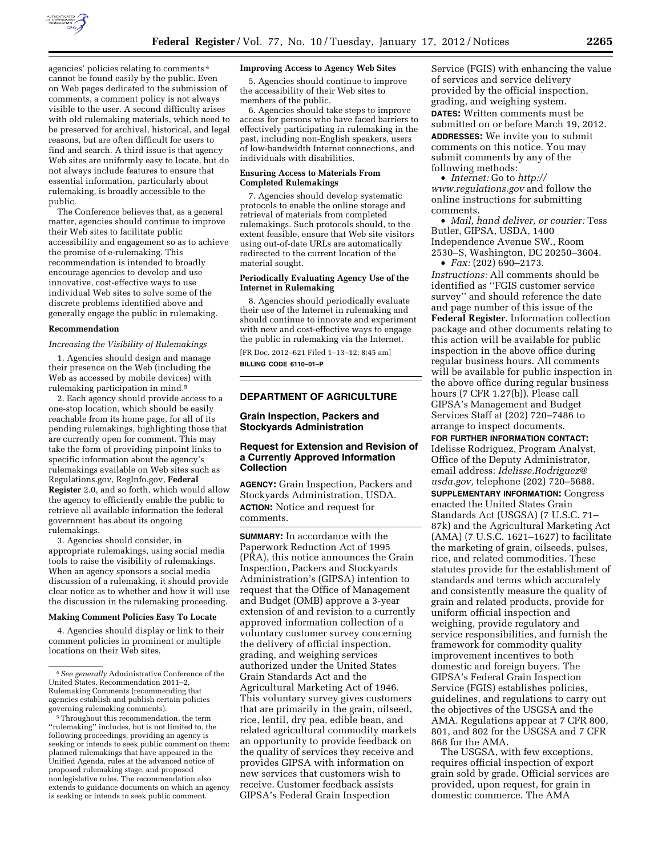

agencies' policies relating to comments 4 cannot be found easily by the public. Even on Web pages dedicated to the submission of comments, a comment policy is not always visible to the user. A second difficulty arises with old rulemaking materials, which need to be preserved for archival, historical, and legal reasons, but are often difficult for users to find and search. A third issue is that agency Web sites are uniformly easy to locate, but do not always include features to ensure that essential information, particularly about rulemaking, is broadly accessible to the public.

The Conference believes that, as a general matter, agencies should continue to improve their Web sites to facilitate public accessibility and engagement so as to achieve the promise of e-rulemaking. This recommendation is intended to broadly encourage agencies to develop and use innovative, cost-effective ways to use individual Web sites to solve some of the discrete problems identified above and generally engage the public in rulemaking.

#### **Recommendation**

#### *Increasing the Visibility of Rulemakings*

1. Agencies should design and manage their presence on the Web (including the Web as accessed by mobile devices) with rulemaking participation in mind.5

2. Each agency should provide access to a one-stop location, which should be easily reachable from its home page, for all of its pending rulemakings, highlighting those that are currently open for comment. This may take the form of providing pinpoint links to specific information about the agency's rulemakings available on Web sites such as Regulations.gov, RegInfo.gov, **Federal Register** 2.0, and so forth, which would allow the agency to efficiently enable the public to retrieve all available information the federal government has about its ongoing rulemakings.

3. Agencies should consider, in appropriate rulemakings, using social media tools to raise the visibility of rulemakings. When an agency sponsors a social media discussion of a rulemaking, it should provide clear notice as to whether and how it will use the discussion in the rulemaking proceeding.

### **Making Comment Policies Easy To Locate**

4. Agencies should display or link to their comment policies in prominent or multiple locations on their Web sites.

#### **Improving Access to Agency Web Sites**

5. Agencies should continue to improve the accessibility of their Web sites to members of the public.

6. Agencies should take steps to improve access for persons who have faced barriers to effectively participating in rulemaking in the past, including non-English speakers, users of low-bandwidth Internet connections, and individuals with disabilities.

#### **Ensuring Access to Materials From Completed Rulemakings**

7. Agencies should develop systematic protocols to enable the online storage and retrieval of materials from completed rulemakings. Such protocols should, to the extent feasible, ensure that Web site visitors using out-of-date URLs are automatically redirected to the current location of the material sought.

#### **Periodically Evaluating Agency Use of the Internet in Rulemaking**

8. Agencies should periodically evaluate their use of the Internet in rulemaking and should continue to innovate and experiment with new and cost-effective ways to engage the public in rulemaking via the Internet.

[FR Doc. 2012–621 Filed 1–13–12; 8:45 am]

**BILLING CODE 6110–01–P** 

# **DEPARTMENT OF AGRICULTURE**

### **Grain Inspection, Packers and Stockyards Administration**

### **Request for Extension and Revision of a Currently Approved Information Collection**

**AGENCY:** Grain Inspection, Packers and Stockyards Administration, USDA. **ACTION:** Notice and request for comments.

**SUMMARY:** In accordance with the Paperwork Reduction Act of 1995 (PRA), this notice announces the Grain Inspection, Packers and Stockyards Administration's (GIPSA) intention to request that the Office of Management and Budget (OMB) approve a 3-year extension of and revision to a currently approved information collection of a voluntary customer survey concerning the delivery of official inspection, grading, and weighing services authorized under the United States Grain Standards Act and the Agricultural Marketing Act of 1946. This voluntary survey gives customers that are primarily in the grain, oilseed, rice, lentil, dry pea, edible bean, and related agricultural commodity markets an opportunity to provide feedback on the quality of services they receive and provides GIPSA with information on new services that customers wish to receive. Customer feedback assists GIPSA's Federal Grain Inspection

Service (FGIS) with enhancing the value of services and service delivery provided by the official inspection, grading, and weighing system. **DATES:** Written comments must be submitted on or before March 19, 2012. **ADDRESSES:** We invite you to submit comments on this notice. You may submit comments by any of the following methods:

• *Internet:* Go to *[http://](http://www.regulations.gov) [www.regulations.gov](http://www.regulations.gov)* and follow the online instructions for submitting comments.

• *Mail, hand deliver, or courier:* Tess Butler, GIPSA, USDA, 1400 Independence Avenue SW., Room 2530–S, Washington, DC 20250–3604.  $\bullet$  *Fax:* (202) 690–2173.

*Instructions:* All comments should be identified as ''FGIS customer service survey'' and should reference the date and page number of this issue of the **Federal Register**. Information collection package and other documents relating to this action will be available for public inspection in the above office during regular business hours. All comments will be available for public inspection in the above office during regular business hours (7 CFR 1.27(b)). Please call GIPSA's Management and Budget Services Staff at (202) 720–7486 to arrange to inspect documents.

**FOR FURTHER INFORMATION CONTACT:**  Idelisse Rodriguez, Program Analyst, Office of the Deputy Administrator, email address: *[Idelisse.Rodriguez@](mailto:Idelisse.Rodriguez@usda.gov) [usda.gov,](mailto:Idelisse.Rodriguez@usda.gov)* telephone (202) 720–5688.

**SUPPLEMENTARY INFORMATION:** Congress enacted the United States Grain Standards Act (USGSA) (7 U.S.C. 71– 87k) and the Agricultural Marketing Act (AMA) (7 U.S.C. 1621–1627) to facilitate the marketing of grain, oilseeds, pulses, rice, and related commodities. These statutes provide for the establishment of standards and terms which accurately and consistently measure the quality of grain and related products, provide for uniform official inspection and weighing, provide regulatory and service responsibilities, and furnish the framework for commodity quality improvement incentives to both domestic and foreign buyers. The GIPSA's Federal Grain Inspection Service (FGIS) establishes policies, guidelines, and regulations to carry out the objectives of the USGSA and the AMA. Regulations appear at 7 CFR 800, 801, and 802 for the USGSA and 7 CFR 868 for the AMA.

The USGSA, with few exceptions, requires official inspection of export grain sold by grade. Official services are provided, upon request, for grain in domestic commerce. The AMA

<sup>4</sup>*See generally* Administrative Conference of the United States, Recommendation 2011–2, Rulemaking Comments (recommending that agencies establish and publish certain policies governing rulemaking comments).

<sup>5</sup>Throughout this recommendation, the term ''rulemaking'' includes, but is not limited to, the following proceedings, providing an agency is seeking or intends to seek public comment on them: planned rulemakings that have appeared in the Unified Agenda, rules at the advanced notice of proposed rulemaking stage, and proposed nonlegislative rules. The recommendation also extends to guidance documents on which an agency is seeking or intends to seek public comment.